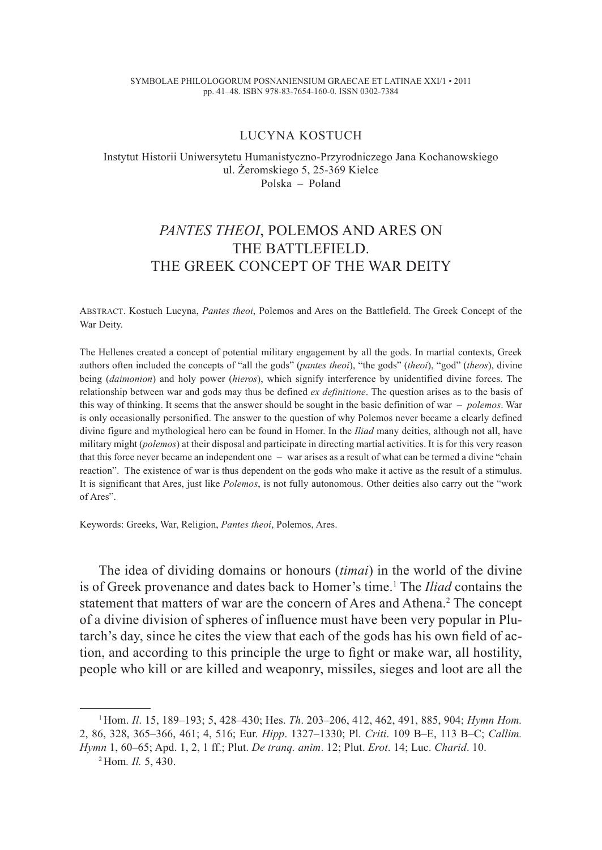#### SYMBOLAE PHILOLOGORUM POSNANIENSIUM GRAECAE ET LATINAE XXI/1 • 2011 pp. 41–48. ISBN 978-83-7654-160-0. ISSN 0302-7384

# Lucyna Kostuch

# Instytut Historii Uniwersytetu Humanistyczno-Przyrodniczego Jana Kochanowskiego ul. Żeromskiego 5, 25-369 Kielce Polska – Poland

# *Pantes theoi*, Polemos and Ares on the Battlefield. The Greek Concept of the War Deity

Abstract. Kostuch Lucyna, *Pantes theoi*, Polemos and Ares on the Battlefield. The Greek Concept of the War Deity.

The Hellenes created a concept of potential military engagement by all the gods. In martial contexts, Greek authors often included the concepts of "all the gods" (*pantes theoi*), "the gods" (*theoi*), "god" (*theos*), divine being (*daimonion*) and holy power (*hieros*), which signify interference by unidentified divine forces. The relationship between war and gods may thus be defined *ex definitione*. The question arises as to the basis of this way of thinking. It seems that the answer should be sought in the basic definition of war – *polemos*. War is only occasionally personified. The answer to the question of why Polemos never became a clearly defined divine figure and mythological hero can be found in Homer. In the *Iliad* many deities, although not all, have military might (*polemos*) at their disposal and participate in directing martial activities. It is for this very reason that this force never became an independent one – war arises as a result of what can be termed a divine "chain reaction". The existence of war is thus dependent on the gods who make it active as the result of a stimulus. It is significant that Ares, just like *Polemos*, is not fully autonomous. Other deities also carry out the "work of Ares".

Keywords: Greeks, War, Religion, *Pantes theoi*, Polemos, Ares.

The idea of dividing domains or honours (*timai*) in the world of the divine is of Greek provenance and dates back to Homer's time.1 The *Iliad* contains the statement that matters of war are the concern of Ares and Athena.<sup>2</sup> The concept of a divine division of spheres of influence must have been very popular in Plutarch's day, since he cites the view that each of the gods has his own field of action, and according to this principle the urge to fight or make war, all hostility, people who kill or are killed and weaponry, missiles, sieges and loot are all the

<sup>1</sup>Hom. *Il*. 15, 189–193; 5, 428–430; Hes. *Th*. 203–206, 412, 462, 491, 885, 904; *Hymn Hom.* 2, 86, 328, 365–366, 461; 4, 516; Eur. *Hipp*. 1327–1330; Pl. *Criti*. 109 B–E, 113 B–C; *Callim. Hymn* 1, 60–65; Apd. 1, 2, 1 ff.; Plut. *De tranq. anim*. 12; Plut. *Erot*. 14; Luc. *Charid*. 10. 2Hom*. Il.* 5, 430.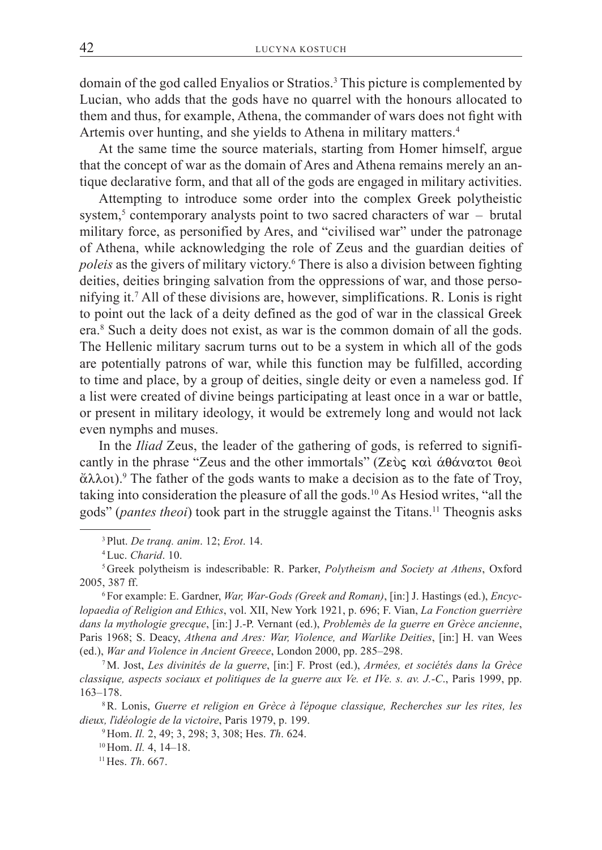domain of the god called Enyalios or Stratios.3 This picture is complemented by Lucian, who adds that the gods have no quarrel with the honours allocated to them and thus, for example, Athena, the commander of wars does not fight with Artemis over hunting, and she yields to Athena in military matters.<sup>4</sup>

At the same time the source materials, starting from Homer himself, argue that the concept of war as the domain of Ares and Athena remains merely an antique declarative form, and that all of the gods are engaged in military activities.

Attempting to introduce some order into the complex Greek polytheistic system,<sup>5</sup> contemporary analysts point to two sacred characters of war – brutal military force, as personified by Ares, and "civilised war" under the patronage of Athena, while acknowledging the role of Zeus and the guardian deities of poleis as the givers of military victory.<sup>6</sup> There is also a division between fighting deities, deities bringing salvation from the oppressions of war, and those personifying it.7 All of these divisions are, however, simplifications. R. Lonis is right to point out the lack of a deity defined as the god of war in the classical Greek era.8 Such a deity does not exist, as war is the common domain of all the gods. The Hellenic military sacrum turns out to be a system in which all of the gods are potentially patrons of war, while this function may be fulfilled, according to time and place, by a group of deities, single deity or even a nameless god. If a list were created of divine beings participating at least once in a war or battle, or present in military ideology, it would be extremely long and would not lack even nymphs and muses.

In the *Iliad* Zeus, the leader of the gathering of gods, is referred to significantly in the phrase "Zeus and the other immortals" (Ze $\alpha \in \alpha \in \mathbb{Q}$ )  $\alpha \in \alpha$   $\alpha \in \alpha$  $\alpha\lambda\lambda\omega$ . The father of the gods wants to make a decision as to the fate of Troy, taking into consideration the pleasure of all the gods.10 As Hesiod writes, "all the gods" (*pantes theoi*) took part in the struggle against the Titans.11 Theognis asks

*lopaedia of Religion and Ethics*, vol. XII, New York 1921, p. 696; F. Vian, *La Fonction guerrière dans la mythologie grecque*, [in:] J.-P. Vernant (ed.), *Problemès de la guerre en Grèce ancienne*, Paris 1968; S. Deacy, *Athena and Ares: War, Violence, and Warlike Deities*, [in:] H. van Wees (ed.), *War and Violence in Ancient Greece*, London 2000, pp. 285–298.

7M. Jost, *Les divinités de la guerre*, [in:] F. Prost (ed.), *Armées, et sociétés dans la Grèce classique, aspects sociaux et politiques de la guerre aux Ve. et IVe. s. av. J.-C*., Paris 1999, pp. 163–178.<br><sup>8</sup>R. Lonis, *Guerre et religion en Grèce à l'époque classique, Recherches sur les rites, les* 

*dieux, ľidéologie de la victoire*, Paris 1979, p. 199.<br>
<sup>9</sup>Hom. *Il.* 2, 49; 3, 298; 3, 308; Hes. *Th.* 624.<br>
<sup>10</sup>Hom. *Il.* 4, 14–18.<br>
<sup>11</sup>Hes. *Th.* 667.

<sup>&</sup>lt;sup>3</sup> Plut. *De tranq. anim.* 12; *Erot.* 14.<br><sup>4</sup> Luc. *Charid.* 10. **5Greek polytheism is indescribable: R. Parker,** *Polytheism and Society at Athens***, Oxford** 2005, 387 ff.<br><sup>6</sup>For example: E. Gardner, *War, War-Gods (Greek and Roman)*, [in:] J. Hastings (ed.), *Encyc-*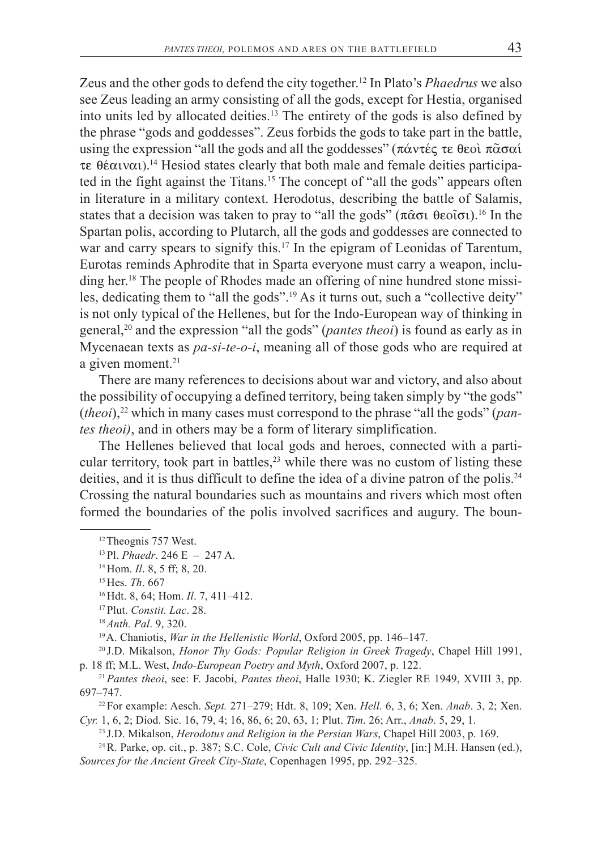Zeus and the other gods to defend the city together.12 In Plato's *Phaedrus* we also see Zeus leading an army consisting of all the gods, except for Hestia, organised into units led by allocated deities.13 The entirety of the gods is also defined by the phrase "gods and goddesses". Zeus forbids the gods to take part in the battle, using the expression "all the gods and all the goddesses" ( $\pi \alpha v \tau \epsilon \varsigma \tau \epsilon \theta \epsilon o \tau \pi \alpha \sigma \alpha i$ )  $\tau \in \theta \in \alpha_1$ .<sup>14</sup> Hesiod states clearly that both male and female deities participated in the fight against the Titans.<sup>15</sup> The concept of "all the gods" appears often in literature in a military context. Herodotus, describing the battle of Salamis, states that a decision was taken to pray to "all the gods" ( $\pi \hat{\alpha} \sigma \iota$   $\theta \in \tilde{\alpha}$ ).<sup>16</sup> In the Spartan polis, according to Plutarch, all the gods and goddesses are connected to war and carry spears to signify this.<sup>17</sup> In the epigram of Leonidas of Tarentum, Eurotas reminds Aphrodite that in Sparta everyone must carry a weapon, including her.18 The people of Rhodes made an offering of nine hundred stone missiles, dedicating them to "all the gods".19 As it turns out, such a "collective deity" is not only typical of the Hellenes, but for the Indo-European way of thinking in general,20 and the expression "all the gods" (*pantes theoi*) is found as early as in Mycenaean texts as *pa-si-te-o-i*, meaning all of those gods who are required at a given moment.<sup>21</sup>

There are many references to decisions about war and victory, and also about the possibility of occupying a defined territory, being taken simply by "the gods" (*theoi*),<sup>22</sup> which in many cases must correspond to the phrase "all the gods" (*pantes theoi)*, and in others may be a form of literary simplification.

The Hellenes believed that local gods and heroes, connected with a particular territory, took part in battles, $2<sup>3</sup>$  while there was no custom of listing these deities, and it is thus difficult to define the idea of a divine patron of the polis.<sup>24</sup> Crossing the natural boundaries such as mountains and rivers which most often formed the boundaries of the polis involved sacrifices and augury. The boun-

<sup>18</sup> *Anth. Pal.* 9, 320.<br><sup>19</sup>A. Chaniotis, *War in the Hellenistic World*, Oxford 2005, pp. 146–147.

<sup>20</sup> J.D. Mikalson, *Honor Thy Gods: Popular Religion in Greek Tragedy*, Chapel Hill 1991, p. 18 ff; M.L. West, *Indo-European Poetry and Myth*, Oxford 2007, p. 122.<br><sup>21</sup> *Pantes theoi*, see: F. Jacobi, *Pantes theoi*, Halle 1930; K. Ziegler RE 1949, XVIII 3, pp.

697–747. 22For example: Aesch. *Sept.* 271–279; Hdt. 8, 109; Xen. *Hell.* 6, 3, 6; Xen. *Anab*. 3, 2; Xen.

*Cyr.* 1, 6, 2; Diod. Sic. 16, 79, 4; 16, 86, 6; 20, 63, 1; Plut. *Tim*. 26; Arr., *Anab*. 5, 29, 1. 23 J.D. Mikalson, *Herodotus and Religion in the Persian Wars*, Chapel Hill 2003, p. 169.

24R. Parke, op. cit., p. 387; S.C. Cole, *Civic Cult and Civic Identity*, [in:] M.H. Hansen (ed.), *Sources for the Ancient Greek City-State*, Copenhagen 1995, pp. 292–325.

<sup>&</sup>lt;sup>12</sup>Theognis 757 West.

<sup>13</sup>Pl. *Phaedr*. 246 E – 247 A. 14Hom. *Il*. 8, 5 ff; 8, 20. 15Hes. *Th*. 667

<sup>16</sup>Hdt. 8, 64; Hom. *Il*. 7, 411–412.

<sup>17</sup>Plut. *Constit. Lac*. 28.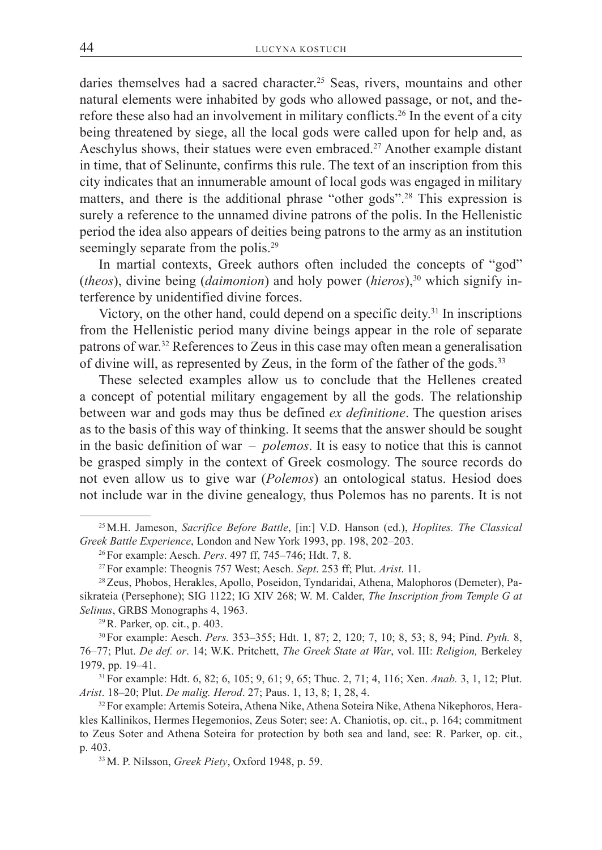daries themselves had a sacred character.<sup>25</sup> Seas, rivers, mountains and other natural elements were inhabited by gods who allowed passage, or not, and therefore these also had an involvement in military conflicts.<sup>26</sup> In the event of a city being threatened by siege, all the local gods were called upon for help and, as Aeschylus shows, their statues were even embraced.<sup>27</sup> Another example distant in time, that of Selinunte, confirms this rule. The text of an inscription from this city indicates that an innumerable amount of local gods was engaged in military matters, and there is the additional phrase "other gods".28 This expression is surely a reference to the unnamed divine patrons of the polis. In the Hellenistic period the idea also appears of deities being patrons to the army as an institution seemingly separate from the polis.<sup>29</sup>

In martial contexts, Greek authors often included the concepts of "god" (*theos*), divine being (*daimonion*) and holy power (*hieros*),<sup>30</sup> which signify interference by unidentified divine forces.

Victory, on the other hand, could depend on a specific deity.<sup>31</sup> In inscriptions from the Hellenistic period many divine beings appear in the role of separate patrons of war.32 References to Zeus in this case may often mean a generalisation of divine will, as represented by Zeus, in the form of the father of the gods.<sup>33</sup>

These selected examples allow us to conclude that the Hellenes created a concept of potential military engagement by all the gods. The relationship between war and gods may thus be defined *ex definitione*. The question arises as to the basis of this way of thinking. It seems that the answer should be sought in the basic definition of war – *polemos*. It is easy to notice that this is cannot be grasped simply in the context of Greek cosmology. The source records do not even allow us to give war (*Polemos*) an ontological status. Hesiod does not include war in the divine genealogy, thus Polemos has no parents. It is not

29R. Parker, op. cit., p. 403.

30For example: Aesch. *Pers.* 353–355; Hdt. 1, 87; 2, 120; 7, 10; 8, 53; 8, 94; Pind. *Pyth.* 8, 76–77; Plut. *De def. or*. 14; W.K. Pritchett, *The Greek State at War*, vol. III: *Religion,* Berkeley 1979, pp. 19–41. 31For example: Hdt. 6, 82; 6, 105; 9, 61; 9, 65; Thuc. 2, 71; 4, 116; Xen. *Anab.* 3, 1, 12; Plut.

*Arist*. 18–20; Plut. *De malig. Herod.* 27; Paus. 1, 13, 8; 1, 28, 4. <sup>32</sup>For example: Artemis Soteira, Athena Nike, Athena Soteira Nike, Athena Nikephoros, Hera-

kles Kallinikos, Hermes Hegemonios, Zeus Soter; see: A. Chaniotis, op. cit., p. 164; commitment to Zeus Soter and Athena Soteira for protection by both sea and land, see: R. Parker, op. cit., p. 403.

<sup>25</sup>M.H. Jameson, *Sacrifice Before Battle*, [in:] V.D. Hanson (ed.), *Hoplites. The Classical Greek Battle Experience*, London and New York 1993, pp. 198, 202–203. <sup>26</sup>For example: Aesch. *Pers.* 497 ff, 745–746; Hdt. 7, 8.

<sup>&</sup>lt;sup>27</sup> For example: Theognis 757 West; Aesch. *Sept.* 253 ff; Plut. *Arist*. 11.<br><sup>28</sup> Zeus, Phobos, Herakles, Apollo, Poseidon, Tyndaridai, Athena, Malophoros (Demeter), Pasikrateia (Persephone); SIG 1122; IG XIV 268; W. M. Calder, *The Inscription from Temple G at Selinus*, GRBS Monographs 4, 1963.

<sup>33</sup>M. P. Nilsson, *Greek Piety*, Oxford 1948, p. 59.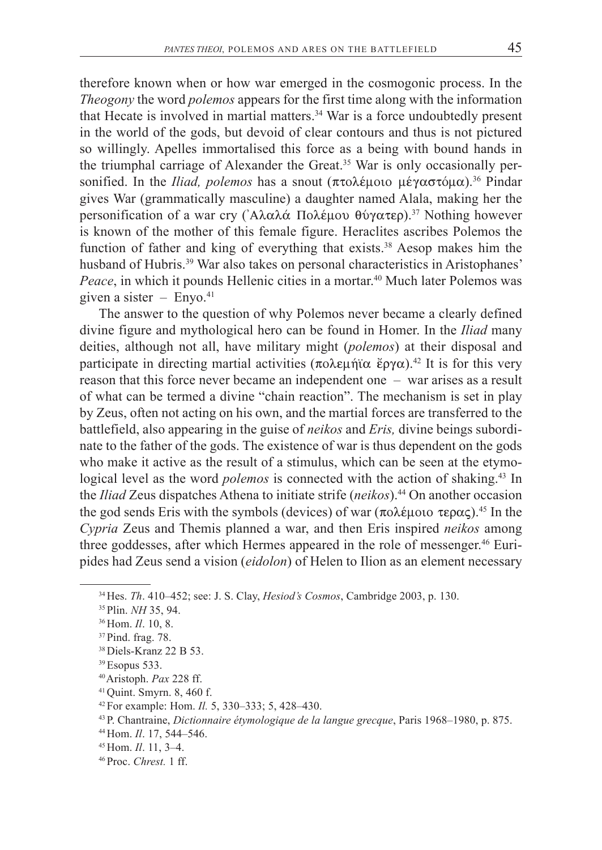therefore known when or how war emerged in the cosmogonic process. In the *Theogony* the word *polemos* appears for the first time along with the information that Hecate is involved in martial matters. $34$  War is a force undoubtedly present in the world of the gods, but devoid of clear contours and thus is not pictured so willingly. Apelles immortalised this force as a being with bound hands in the triumphal carriage of Alexander the Great.<sup>35</sup> War is only occasionally personified. In the *Iliad, polemos* has a snout  $(\pi \tau \circ \lambda \epsilon \mu \circ \sigma \circ \tau)$  and  $\pi \circ \lambda \circ \tau$  Pindar gives War (grammatically masculine) a daughter named Alala, making her the personification of a war cry ('Aλαλά Πολέμου θύγατερ).<sup>37</sup> Nothing however is known of the mother of this female figure. Heraclites ascribes Polemos the function of father and king of everything that exists.<sup>38</sup> Aesop makes him the husband of Hubris.<sup>39</sup> War also takes on personal characteristics in Aristophanes' *Peace*, in which it pounds Hellenic cities in a mortar.<sup>40</sup> Much later Polemos was given a sister –  $Enyo.<sup>41</sup>$ 

The answer to the question of why Polemos never became a clearly defined divine figure and mythological hero can be found in Homer. In the *Iliad* many deities, although not all, have military might (*polemos*) at their disposal and participate in directing martial activities  $(\pi \circ \lambda \varepsilon \mu)$   $\hat{\varepsilon}$  are  $\hat{\varepsilon}$  are  $\hat{\varepsilon}$  are  $\hat{\varepsilon}$  are  $\hat{\varepsilon}$  are  $\hat{\varepsilon}$  are  $\hat{\varepsilon}$  are  $\hat{\varepsilon}$  are  $\hat{\varepsilon}$  are  $\hat{\varepsilon}$  are  $\hat{\varepsilon}$  are  $\hat{\varepsilon$ reason that this force never became an independent one – war arises as a result of what can be termed a divine "chain reaction". The mechanism is set in play by Zeus, often not acting on his own, and the martial forces are transferred to the battlefield, also appearing in the guise of *neikos* and *Eris,* divine beings subordinate to the father of the gods. The existence of war is thus dependent on the gods who make it active as the result of a stimulus, which can be seen at the etymological level as the word *polemos* is connected with the action of shaking.<sup>43</sup> In the *Iliad* Zeus dispatches Athena to initiate strife (*neikos*).44 On another occasion the god sends Eris with the symbols (devices) of war  $(\pi \circ \lambda \in \mathfrak{p} \circ \alpha \circ \lambda)^{45}$  In the *Cypria* Zeus and Themis planned a war, and then Eris inspired *neikos* among three goddesses, after which Hermes appeared in the role of messenger.46 Euripides had Zeus send a vision (*eidolon*) of Helen to Ilion as an element necessary

<sup>&</sup>lt;sup>34</sup> Hes. *Th.* 410–452; see: J. S. Clay, *Hesiod's Cosmos*, Cambridge 2003, p. 130. <sup>35</sup> Plin. *NH* 35, 94. <br><sup>36</sup> Hom. *Il*. 10, 8. <sup>37</sup>Pind. frag. 78.

<sup>&</sup>lt;sup>38</sup> Diels-Kranz 22 B 53.<br><sup>39</sup> Esopus 533.

<sup>40</sup>Aristoph. *Pax* 228 ff.

<sup>41</sup>Quint. Smyrn. 8, 460 f.

<sup>42</sup>For example: Hom. *Il.* 5, 330–333; 5, 428–430.

<sup>43</sup> P. Chantraine, *Dictionnaire étymologique de la langue grecque*, Paris 1968–1980, p. 875.<br><sup>44</sup>Hom. *Il*. 17, 544–546.<br><sup>45</sup>Hom. *Il*. 11, 3–4.<br><sup>46</sup>Proc. *Chrest.* 1 ff.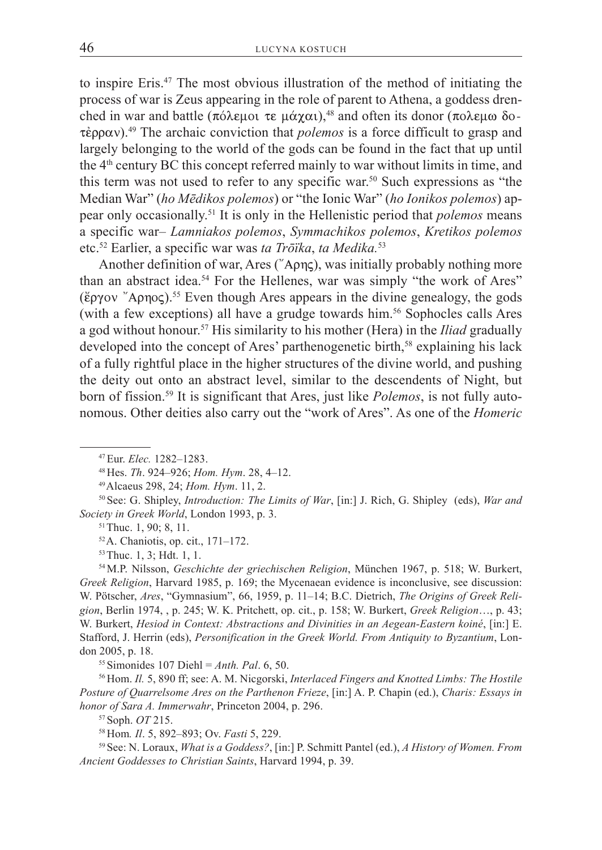to inspire Eris.47 The most obvious illustration of the method of initiating the process of war is Zeus appearing in the role of parent to Athena, a goddess drenched in war and battle ( $\pi$ όλεμοι τε μάχαι),<sup>48</sup> and often its donor ( $\pi$ ολεμω δο- $\tau \dot{\epsilon}$ ρραν).<sup>49</sup> The archaic conviction that *polemos* is a force difficult to grasp and largely belonging to the world of the gods can be found in the fact that up until the 4th century BC this concept referred mainly to war without limits in time, and this term was not used to refer to any specific war.<sup>50</sup> Such expressions as "the Median War" (*ho Mēdikos polemos*) or "the Ionic War" (*ho Ionikos polemos*) appear only occasionally.51 It is only in the Hellenistic period that *polemos* means a specific war– *Lamniakos polemos*, *Symmachikos polemos*, *Kretikos polemos* etc.52 Earlier, a specific war was *ta Trōїka*, *ta Medika.*<sup>53</sup>

Another definition of war, Ares ( $\alpha$ Apn $\varsigma$ ), was initially probably nothing more than an abstract idea.<sup>54</sup> For the Hellenes, war was simply "the work of Ares"  $(\xi \rho \gamma \omega)$  "Apnoc).<sup>55</sup> Even though Ares appears in the divine genealogy, the gods (with a few exceptions) all have a grudge towards him.<sup>56</sup> Sophocles calls Ares a god without honour.57 His similarity to his mother (Hera) in the *Iliad* gradually developed into the concept of Ares' parthenogenetic birth,<sup>58</sup> explaining his lack of a fully rightful place in the higher structures of the divine world, and pushing the deity out onto an abstract level, similar to the descendents of Night, but born of fission.59 It is significant that Ares, just like *Polemos*, is not fully autonomous. Other deities also carry out the "work of Ares". As one of the *Homeric* 

52A. Chaniotis, op. cit., 171–172.

53Thuc. 1, 3; Hdt. 1, 1.

54M.P. Nilsson, *Geschichte der griechischen Religion*, München 1967, p. 518; W. Burkert, *Greek Religion*, Harvard 1985, p. 169; the Mycenaean evidence is inconclusive, see discussion: W. Pötscher, *Ares*, "Gymnasium", 66, 1959, p. 11–14; B.C. Dietrich, *The Origins of Greek Religion*, Berlin 1974, , p. 245; W. K. Pritchett, op. cit., p. 158; W. Burkert, *Greek Religion*…, p. 43; W. Burkert, *Hesiod in Context: Abstractions and Divinities in an Aegean-Eastern koiné*, [in:] E. Stafford, J. Herrin (eds), *Personification in the Greek World. From Antiquity to Byzantium*, London 2005, p. 18. 55Simonides 107 Diehl = *Anth. Pal*. 6, 50.

56Hom. *Il.* 5, 890 ff; see: A. M. Nicgorski, *Interlaced Fingers and Knotted Limbs: The Hostile Posture of Quarrelsome Ares on the Parthenon Frieze*, [in:] A. P. Chapin (ed.), *Charis: Essays in honor of Sara A. Immerwahr*, Princeton 2004, p. 296.

57Soph. *OT* 215. 58Hom*. Il*. 5, 892–893; Ov. *Fasti* 5, 229.

59See: N. Loraux, *What is a Goddess?*, [in:] P. Schmitt Pantel (ed.), *A History of Women. From Ancient Goddesses to Christian Saints*, Harvard 1994, p. 39.

<sup>&</sup>lt;sup>47</sup> Eur. *Elec.* 1282–1283.<br><sup>48</sup> Hes. *Th.* 924–926; *Hom. Hym.* 28, 4–12.<br><sup>49</sup> Alcaeus 298, 24; *Hom. Hym.* 11, 2.<br><sup>50</sup> See: G. Shipley, *Introduction: The Limits of War*, [in:] J. Rich, G. Shipley (eds), *War and Society in Greek World*, London 1993, p. 3.<br><sup>51</sup>Thuc. 1, 90; 8, 11.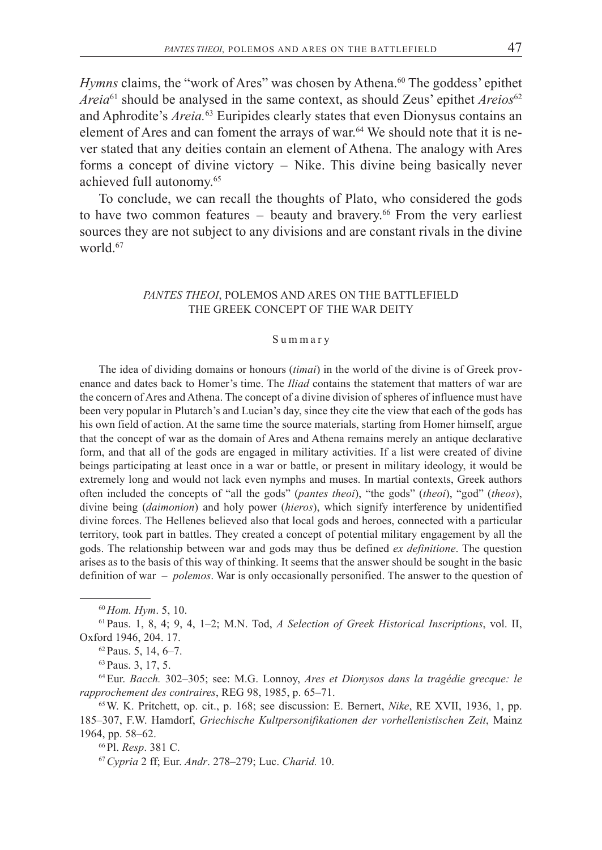*Hymns* claims, the "work of Ares" was chosen by Athena.<sup>60</sup> The goddess' epithet *Areia*<sup>61</sup> should be analysed in the same context, as should Zeus' epithet *Areios*<sup>62</sup> and Aphrodite's *Areia.*63 Euripides clearly states that even Dionysus contains an element of Ares and can foment the arrays of war.<sup>64</sup> We should note that it is never stated that any deities contain an element of Athena. The analogy with Ares forms a concept of divine victory – Nike. This divine being basically never achieved full autonomy.<sup>65</sup>

To conclude, we can recall the thoughts of Plato, who considered the gods to have two common features – beauty and bravery.<sup>66</sup> From the very earliest sources they are not subject to any divisions and are constant rivals in the divine world $67$ 

### *Pantes theoi*, Polemos and Ares on the Battlefield The Greek Concept of the War Deity

### S u m m a r y

The idea of dividing domains or honours (*timai*) in the world of the divine is of Greek provenance and dates back to Homer's time. The *Iliad* contains the statement that matters of war are the concern of Ares and Athena. The concept of a divine division of spheres of influence must have been very popular in Plutarch's and Lucian's day, since they cite the view that each of the gods has his own field of action. At the same time the source materials, starting from Homer himself, argue that the concept of war as the domain of Ares and Athena remains merely an antique declarative form, and that all of the gods are engaged in military activities. If a list were created of divine beings participating at least once in a war or battle, or present in military ideology, it would be extremely long and would not lack even nymphs and muses. In martial contexts, Greek authors often included the concepts of "all the gods" (*pantes theoi*), "the gods" (*theoi*), "god" (*theos*), divine being (*daimonion*) and holy power (*hieros*), which signify interference by unidentified divine forces. The Hellenes believed also that local gods and heroes, connected with a particular territory, took part in battles. They created a concept of potential military engagement by all the gods. The relationship between war and gods may thus be defined *ex definitione*. The question arises as to the basis of this way of thinking. It seems that the answer should be sought in the basic definition of war – *polemos*. War is only occasionally personified. The answer to the question of

<sup>60</sup>*Hom. Hym*. 5, 10. 61Paus. 1, 8, 4; 9, 4, 1–2; M.N. Tod, *<sup>A</sup> Selection of Greek Historical Inscriptions*, vol. II, Oxford 1946, 204. 17.<br><sup>62</sup> Paus. 5, 14, 6–7.

63Paus. 3, 17, 5.

64Eur. *Bacch.* 302–305; see: M.G. Lonnoy, *Ares et Dionysos dans la tragédie grecque: le rapprochement des contraires*, REG 98, 1985, p. 65–71.<br><sup>65</sup>W. K. Pritchett, op. cit., p. 168; see discussion: E. Bernert, *Nike*, RE XVII, 1936, 1, pp.

185–307, F.W. Hamdorf, *Griechische Kultpersonifikationen der vorhellenistischen Zeit*, Mainz 1964, pp. 58–62. 66Pl. *Resp*. 381 C.

67*Cypria* 2 ff; Eur. *Andr*. 278–279; Luc. *Charid.* 10.